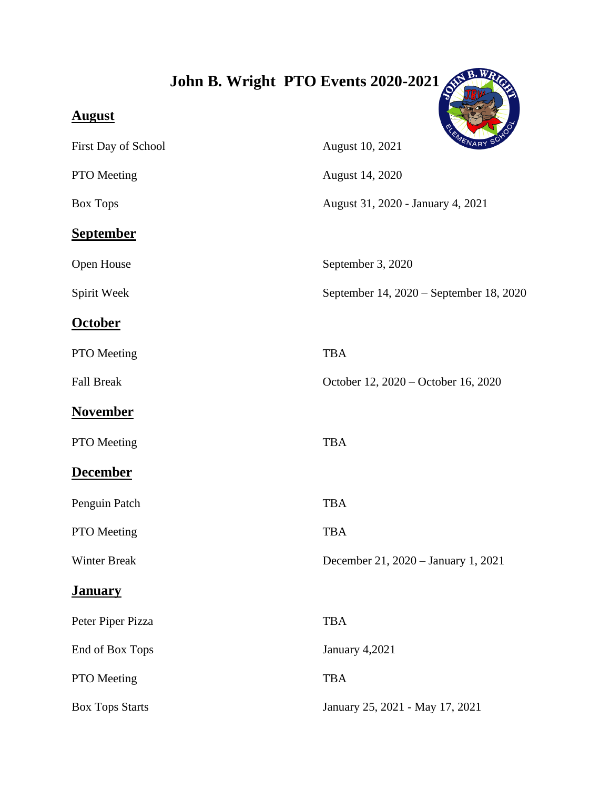## John B. Wright PTO Events 2020-2021

## **August**  First Day of School August 10, 2021 PTO Meeting August 14, 2020 Box Tops **August 31, 2020 - January 4, 2021 September** Open House September 3, 2020 Spirit Week September 14, 2020 – September 18, 2020 **October** PTO Meeting TBA Fall Break October 12, 2020 – October 16, 2020 **November** PTO Meeting TBA **December** Penguin Patch TBA PTO Meeting TBA Winter Break December 21, 2020 – January 1, 2021 **January** Peter Piper Pizza TBA End of Box Tops January 4,2021 PTO Meeting TBA Box Tops Starts January 25, 2021 - May 17, 2021